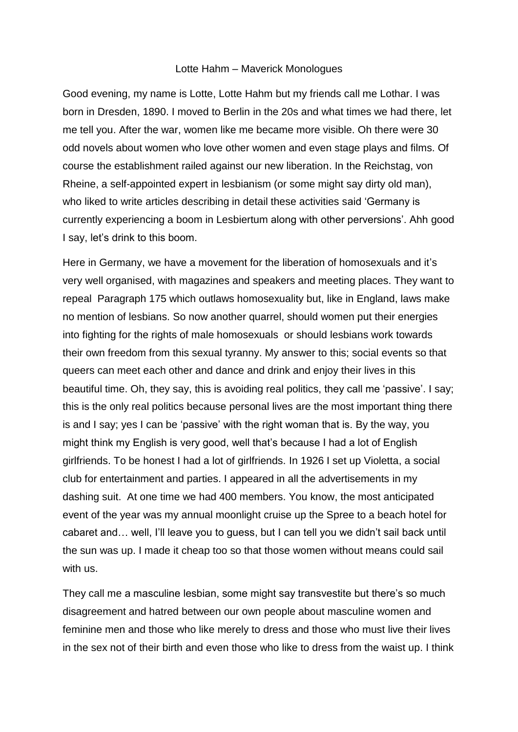## Lotte Hahm – Maverick Monologues

Good evening, my name is Lotte, Lotte Hahm but my friends call me Lothar. I was born in Dresden, 1890. I moved to Berlin in the 20s and what times we had there, let me tell you. After the war, women like me became more visible. Oh there were 30 odd novels about women who love other women and even stage plays and films. Of course the establishment railed against our new liberation. In the Reichstag, von Rheine, a self-appointed expert in lesbianism (or some might say dirty old man), who liked to write articles describing in detail these activities said 'Germany is currently experiencing a boom in Lesbiertum along with other perversions'. Ahh good I say, let's drink to this boom.

Here in Germany, we have a movement for the liberation of homosexuals and it's very well organised, with magazines and speakers and meeting places. They want to repeal Paragraph 175 which outlaws homosexuality but, like in England, laws make no mention of lesbians. So now another quarrel, should women put their energies into fighting for the rights of male homosexuals or should lesbians work towards their own freedom from this sexual tyranny. My answer to this; social events so that queers can meet each other and dance and drink and enjoy their lives in this beautiful time. Oh, they say, this is avoiding real politics, they call me 'passive'. I say; this is the only real politics because personal lives are the most important thing there is and I say; yes I can be 'passive' with the right woman that is. By the way, you might think my English is very good, well that's because I had a lot of English girlfriends. To be honest I had a lot of girlfriends. In 1926 I set up Violetta, a social club for entertainment and parties. I appeared in all the advertisements in my dashing suit. At one time we had 400 members. You know, the most anticipated event of the year was my annual moonlight cruise up the Spree to a beach hotel for cabaret and… well, I'll leave you to guess, but I can tell you we didn't sail back until the sun was up. I made it cheap too so that those women without means could sail with us.

They call me a masculine lesbian, some might say transvestite but there's so much disagreement and hatred between our own people about masculine women and feminine men and those who like merely to dress and those who must live their lives in the sex not of their birth and even those who like to dress from the waist up. I think